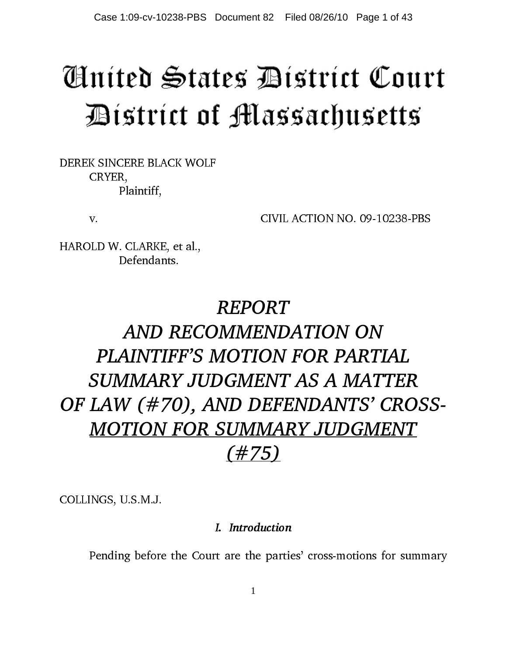# Aníted States Bístríct Court District of Massachusetts

DEREK SINCERE BLACK WOLF CRYER, Plaintiff,

v. CIVIL ACTION NO. 09-10238-PBS

HAROLD W. CLARKE, et al., Defendants.

## REPORT AND RECOMMENDATION ON PLAINTIFF'S MOTION FOR PARTIAL SUMMARY JUDGMENT AS A MATTER OF LAW (#70), AND DEFENDANTS' CROSS-MOTION FOR SUMMARY JUDGMENT (#75)

COLLINGS, U.S.M.J.

## I. Introduction

I. Introduction Pending before the Court are the parties' cross-motions for summary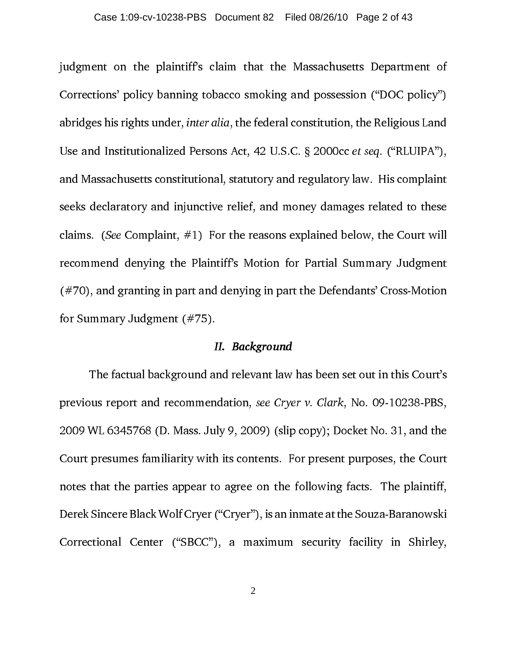judgment on the plaintiff's claim that the Massachusetts Department of Corrections' policy banning tobacco smoking and possession ("DOC policy") abridges his rights under, inter alia, the federal constitution, the Religious Land Use and Institutionalized Persons Act, 42 U.S.C. § 2000cc et seq. ("RLUIPA"), and Massachusetts constitutional, statutory and regulatory law. His complaint seeks declaratory and injunctive relief, and money damages related to these claims. (See Complaint,  $#1$ ) For the reasons explained below, the Court will recommend denying the Plaintiff's Motion for Partial Summary Judgment (#70), and granting in part and denying in part the Defendants' Cross-Motion for Summary Judgment (#75).

#### II. Background

II. In the devant law<br>
Indertake Cry<br>
Ily 9, 2009) (slip<br>
In its contents. Fo agree on the<br>
("Cryer"), is an i<br>
), a maximum<br>
2 The factual background and relevant law has been set out in this Court's previous report and recommendation, see Cryer v. Clark, No. 09-10238-PBS, 2009 WL 6345768 (D. Mass. July 9, 2009) (slip copy); Docket No. 31, and the Court presumes familiarity with its contents. For present purposes, the Court notes that the parties appear to agree on the following facts. The plaintiff, Derek Sincere Black Wolf Cryer ("Cryer"), is an inmate at the Souza-Baranowski Correctional Center ("SBCC"), a maximum security facility in Shirley,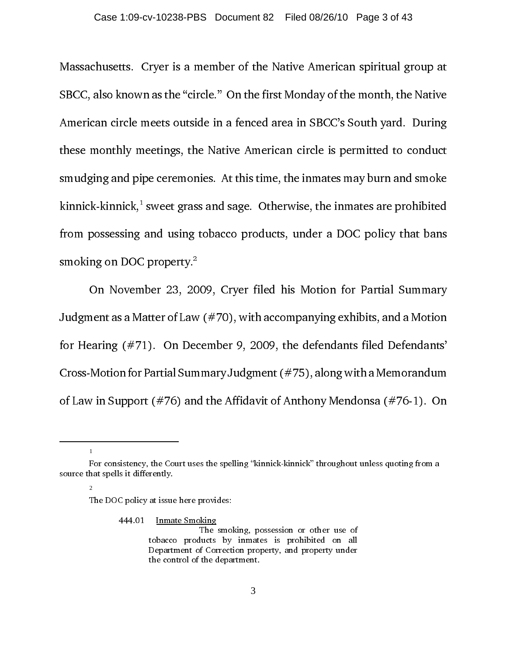Massachusetts. Cryer is a member of the Native American spiritual group at SBCC, also known as the "circle." On the first Monday of the month, the Native American circle meets outside in a fenced area in SBCC's South yard. During these monthly meetings, the Native American circle is permitted to conduct smudging and pipe ceremonies. At this time, the inmates may burn and smoke kinnick-kinnick, $^{\text{!}}$  sweet grass and sage. Otherwise, the inmates are prohibited from possessing and using tobacco products, under a DOC policy that bans smoking on DOC property. $2$ 

On November 23, 2009, Cryer filed his Motion for Partial Summary Judgment as a Matter of Law  $(\text{\#}70)$ , with accompanying exhibits, and a Motion for Hearing (#71). On December 9, 2009, the defendants filed Defendants' Cross-Motion for Partial Summary Judgment (#75), along with a Memorandum of Law in Support (#76) and the Affidavit of Anthony Mendonsa (#76-1). On

1

2

The DOC policy at issue here provides:

444.01 Inmate Smoking

 The smoking, possession or other use of tobacco products by inmates is prohibited on all Department of Correction property, and property under the control of the department.

For consistency, the Court uses the spelling "kinnick-kinnick" throughout unless quoting from a source that spells it differently.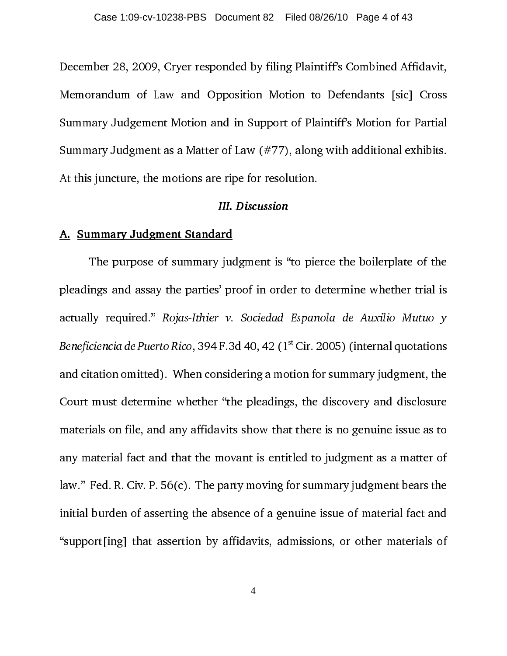December 28, 2009, Cryer responded by filing Plaintiff's Combined Affidavit, Memorandum of Law and Opposition Motion to Defendants [sic] Cross Summary Judgement Motion and in Support of Plaintiff's Motion for Partial Summary Judgment as a Matter of Law (#77), along with additional exhibits. At this juncture, the motions are ripe for resolution.

#### A. Summary Judgment Standard

The purpose of summary judgment is "to pierce the boilerplate of the pleadings and assay the parties' proof in order to determine whether trial is actually required." *Rojas-Ithier v. Sociedad Espanola de Auxilio Mutuo y*<br>*Beneficiencia de Puerto Rico*, 394 F.3d 40, 42 (1<sup>st</sup> Cir. 2005) (internal quotations<br>and citation omitted). When considering a motion for summary Beneficiencia de Puerto Rico, 394 F.3d 40, 42 (1<sup>st</sup> Cir. 2005) (internal quotations<br>and citation omitted). When considering a motion for summary judgment, the<br>Court must determine whether "the pleadings, the discovery and and citation omitted). When considering a motion for summary judgment, the Court must determine whether "the pleadings, the discovery and disclosure materials on file, and any affidavits show that there is no genuine issue as to any material fact and that the movant is entitled to judgment as a matter of law." Fed. R. Civ. P. 56(c). The party moving for summary judgment bears the initial burden of asserting the absence of a genuine issue of material fact and "support[ing] that assertion by affidavits, admissions, or other materials of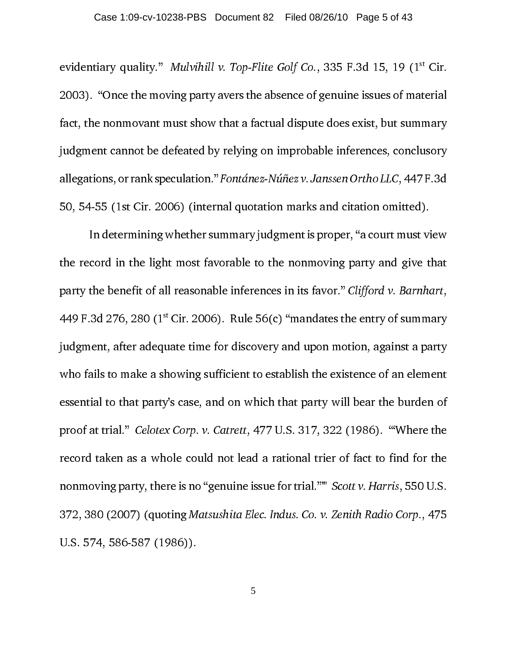evidentiary quality." Mulvihill v. Top-Flite Golf Co., 335 F.3d 15, 19 (1<sup>st</sup> Cir. 2003). "Once the moving party avers the absence of genuine issues of material fact, the nonmovant must show that a factual dispute does exist, but summary judgment cannot be defeated by relying on improbable inferences, conclusory allegations, or rank speculation." Fontánez-Núñez v. Janssen Ortho LLC, 447 F.3d 50, 54-55 (1st Cir. 2006) (internal quotation marks and citation omitted).

In determining whether summary judgment is proper, "a court must view the record in the light most favorable to the nonmoving party and give that party the benefit of all reasonable inferences in its favor." Clifford v. Barnhart, 449 F.3d 276, 280 ( $1<sup>st</sup>$  Cir. 2006). Rule 56(c) "mandates the entry of summary judgment, after adequate time for discovery and upon motion, against a party who fails to make a showing sufficient to establish the existence of an element essential to that party's case, and on which that party will bear the burden of proof at trial." Celotex Corp. v. Catrett, 477 U.S. 317, 322 (1986). "'Where the record taken as a whole could not lead a rational trier of fact to find for the nonmoving party, there is no "genuine issue for trial."'" Scott v. Harris, 550 U.S. 372, 380 (2007) (quoting Matsushita Elec. Indus. Co. v. Zenith Radio Corp., 475 U.S. 574, 586-587 (1986)).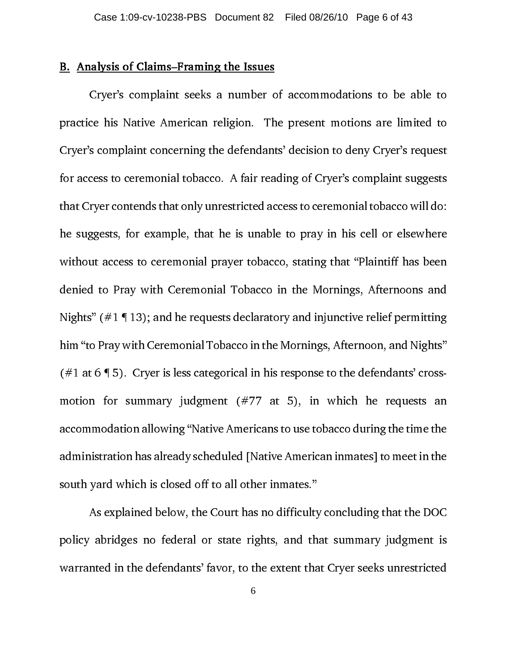#### B. Analysis of Claims–Framing the Issues

Cryer's complaint seeks a number of accommodations to be able to practice his Native American religion. The present motions are limited to Cryer's complaint concerning the defendants' decision to deny Cryer's request for access to ceremonial tobacco. A fair reading of Cryer's complaint suggests that Cryer contends that only unrestricted access to ceremonial tobacco will do: he suggests, for example, that he is unable to pray in his cell or elsewhere without access to ceremonial prayer tobacco, stating that "Plaintiff has been denied to Pray with Ceremonial Tobacco in the Mornings, Afternoons and Nights" ( $\#1 \P 13$ ); and he requests declaratory and injunctive relief permitting him "to Pray with Ceremonial Tobacco in the Mornings, Afternoon, and Nights" (#1 at 6  $\P$  5). Cryer is less categorical in his response to the defendants' crossmotion for summary judgment (#77 at 5), in which he requests an accommodation allowing "Native Americans to use tobacco during the time the administration has already scheduled [Native American inmates] to meet in the south yard which is closed off to all other inmates."

As explained below, the Court has no difficulty concluding that the DOC policy abridges no federal or state rights, and that summary judgment is warranted in the defendants' favor, to the extent that Cryer seeks unrestricted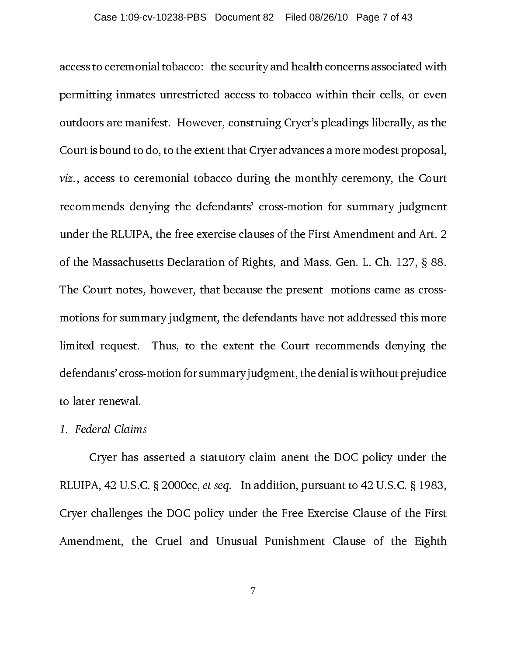access to ceremonial tobacco: the security and health concerns associated with permitting inmates unrestricted access to tobacco within their cells, or even outdoors are manifest. However, construing Cryer's pleadings liberally, as the Court is bound to do, to the extent that Cryer advances a more modest proposal, viz., access to ceremonial tobacco during the monthly ceremony, the Court recommends denying the defendants' cross-motion for summary judgment under the RLUIPA, the free exercise clauses of the First Amendment and Art. 2 of the Massachusetts Declaration of Rights, and Mass. Gen. L. Ch. 127, § 88. The Court notes, however, that because the present motions came as crossmotions for summary judgment, the defendants have not addressed this more limited request. Thus, to the extent the Court recommends denying the defendants' cross-motion for summary judgment, the denial is without prejudice to later renewal.

#### 1. Federal Claims

Cryer has asserted a statutory claim anent the DOC policy under the RLUIPA, 42 U.S.C. § 2000cc, et seq. In addition, pursuant to 42 U.S.C. § 1983, Cryer challenges the DOC policy under the Free Exercise Clause of the First Amendment, the Cruel and Unusual Punishment Clause of the Eighth

7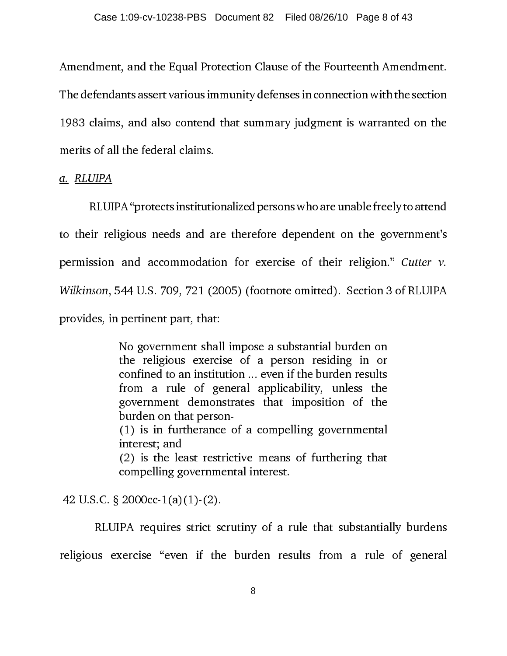Amendment, and the Equal Protection Clause of the Fourteenth Amendment. The defendants assert various immunity defenses in connection with the section 1983 claims, and also contend that summary judgment is warranted on the merits of all the federal claims.

a. RLUIPA

RLUIPA "protects institutionalized persons who are unable freely to attend to their religious needs and are therefore dependent on the government's permission and accommodation for exercise of their religion." Cutter v. Wilkinson, 544 U.S. 709, 721 (2005) (footnote omitted). Section 3 of RLUIPA provides, in pertinent part, that:

> No government shall impose a substantial burden on the religious exercise of a person residing in or confined to an institution ... even if the burden results from a rule of general applicability, unless the government demonstrates that imposition of the burden on that person- (1) is in furtherance of a compelling governmental interest; and (2) is the least restrictive means of furthering that compelling governmental interest.

42 U.S.C. § 2000cc-1(a)(1)-(2).

 RLUIPA requires strict scrutiny of a rule that substantially burdens religious exercise "even if the burden results from a rule of general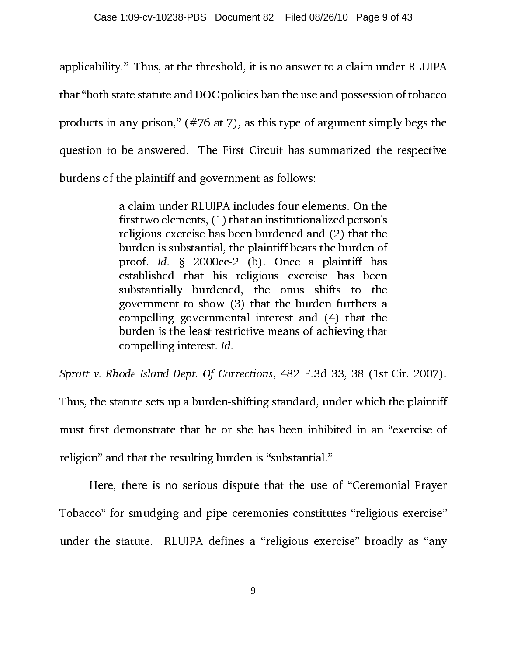applicability." Thus, at the threshold, it is no answer to a claim under RLUIPA that "both state statute and DOC policies ban the use and possession of tobacco products in any prison," (#76 at 7), as this type of argument simply begs the question to be answered. The First Circuit has summarized the respective burdens of the plaintiff and government as follows:

> a claim under RLUIPA includes four elements. On the first two elements, (1) that an institutionalized person's religious exercise has been burdened and (2) that the burden is substantial, the plaintiff bears the burden of proof. Id. § 2000cc-2 (b). Once a plaintiff has established that his religious exercise has been substantially burdened, the onus shifts to the government to show (3) that the burden furthers a compelling governmental interest and (4) that the burden is the least restrictive means of achieving that compelling interest. Id.

Spratt v. Rhode Island Dept. Of Corrections, 482 F.3d 33, 38 (1st Cir. 2007).

Thus, the statute sets up a burden-shifting standard, under which the plaintiff must first demonstrate that he or she has been inhibited in an "exercise of religion" and that the resulting burden is "substantial."

Here, there is no serious dispute that the use of "Ceremonial Prayer Tobacco" for smudging and pipe ceremonies constitutes "religious exercise" under the statute. RLUIPA defines a "religious exercise" broadly as "any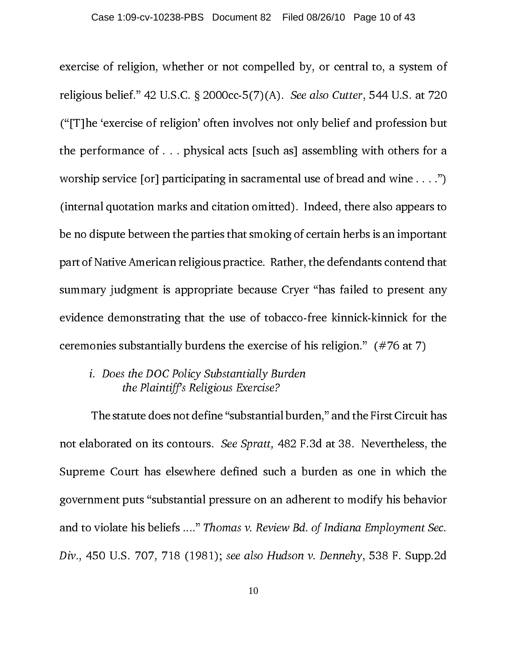exercise of religion, whether or not compelled by, or central to, a system of religious belief." 42 U.S.C. § 2000cc-5(7)(A). See also Cutter, 544 U.S. at 720 ("[T]he 'exercise of religion' often involves not only belief and profession but the performance of . . . physical acts [such as] assembling with others for a worship service [or] participating in sacramental use of bread and wine . . . .") (internal quotation marks and citation omitted). Indeed, there also appears to be no dispute between the parties that smoking of certain herbs is an important part of Native American religious practice. Rather, the defendants contend that summary judgment is appropriate because Cryer "has failed to present any evidence demonstrating that the use of tobacco-free kinnick-kinnick for the ceremonies substantially burdens the exercise of his religion." (#76 at 7)

### i. Does the DOC Policy Substantially Burden the Plaintiff's Religious Exercise?

 The statute does not define "substantial burden," and the First Circuit has not elaborated on its contours. See Spratt, 482 F.3d at 38. Nevertheless, the Supreme Court has elsewhere defined such a burden as one in which the government puts "substantial pressure on an adherent to modify his behavior and to violate his beliefs ...." Thomas v. Review Bd. of Indiana Employment Sec. Div., 450 U.S. 707, 718 (1981); see also Hudson v. Dennehy, 538 F. Supp.2d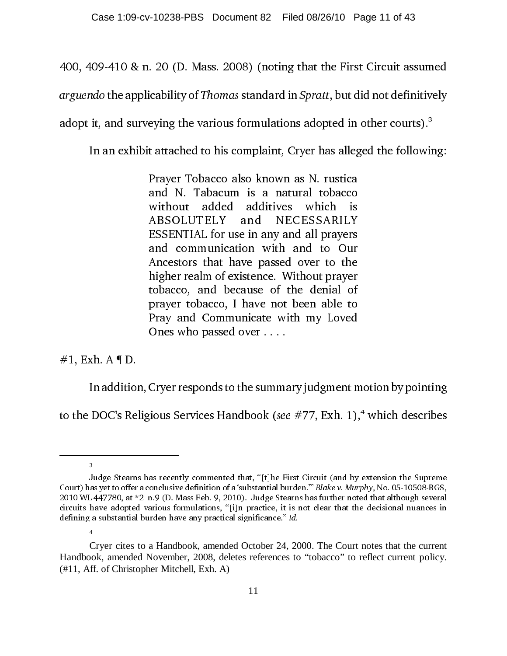400, 409-410 & n. 20 (D. Mass. 2008) (noting that the First Circuit assumed

arguendo the applicability of Thomas standard in Spratt, but did not definitively

adopt it, and surveying the various formulations adopted in other courts).<sup>3</sup>

In an exhibit attached to his complaint, Cryer has alleged the following:

Prayer Tobacco also known as N. rustica and N. Tabacum is a natural tobacco without added additives which is ABSOLUTELY and NECESSARILY ESSENTIAL for use in any and all prayers and communication with and to Our Ancestors that have passed over to the higher realm of existence. Without prayer tobacco, and because of the denial of prayer tobacco, I have not been able to Pray and Communicate with my Loved Ones who passed over . . . .

#### $#1$ , Exh. A  $\P D$ .

In addition, Cryer responds to the summary judgment motion by pointing to the DOC's Religious Services Handbook (see  $\#77$ , Exh. 1),<sup>4</sup> which describes

<sup>3</sup>

Judge Stearns has recently commented that, "[t]he First Circuit (and by extension the Supreme Court) has yet to offer a conclusive definition of a 'substantial burden.'" Blake v. Murphy, No. 05-10508-RGS, 2010 WL 447780, at \*2 n.9 (D. Mass Feb. 9, 2010). Judge Stearns has further noted that although several circuits have adopted various formulations, "[i]n practice, it is not clear that the decisional nuances in defining a substantial burden have any practical significance." Id.

<sup>4</sup>

Cryer cites to a Handbook, amended October 24, 2000. The Court notes that the current Handbook, amended November, 2008, deletes references to "tobacco" to reflect current policy. (#11, Aff. of Christopher Mitchell, Exh. A)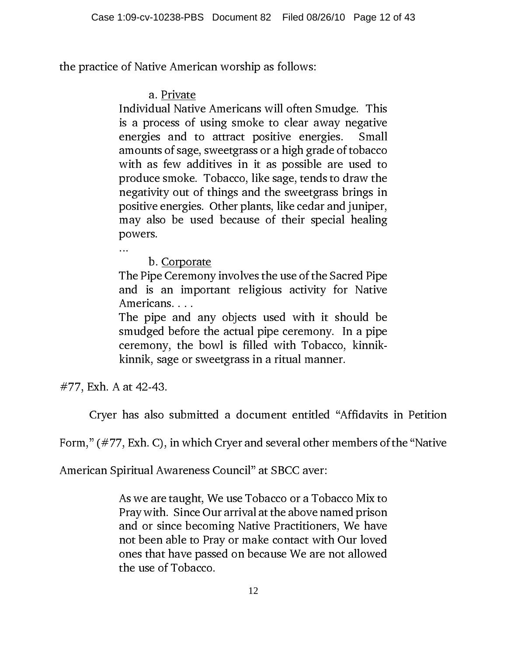the practice of Native American worship as follows:

a. Private

Individual Native Americans will often Smudge. This is a process of using smoke to clear away negative energies and to attract positive energies. Small amounts of sage, sweetgrass or a high grade of tobacco with as few additives in it as possible are used to produce smoke. Tobacco, like sage, tends to draw the negativity out of things and the sweetgrass brings in positive energies. Other plants, like cedar and juniper, may also be used because of their special healing powers.

...

b. Corporate

The Pipe Ceremony involves the use of the Sacred Pipe and is an important religious activity for Native Americans. . . .

The pipe and any objects used with it should be smudged before the actual pipe ceremony. In a pipe ceremony, the bowl is filled with Tobacco, kinnikkinnik, sage or sweetgrass in a ritual manner.

#77, Exh. A at 42-43.

Cryer has also submitted a document entitled "Affidavits in Petition

Form," (#77, Exh. C), in which Cryer and several other members of the "Native

American Spiritual Awareness Council" at SBCC aver:

As we are taught, We use Tobacco or a Tobacco Mix to Pray with. Since Our arrival at the above named prison and or since becoming Native Practitioners, We have not been able to Pray or make contact with Our loved ones that have passed on because We are not allowed the use of Tobacco.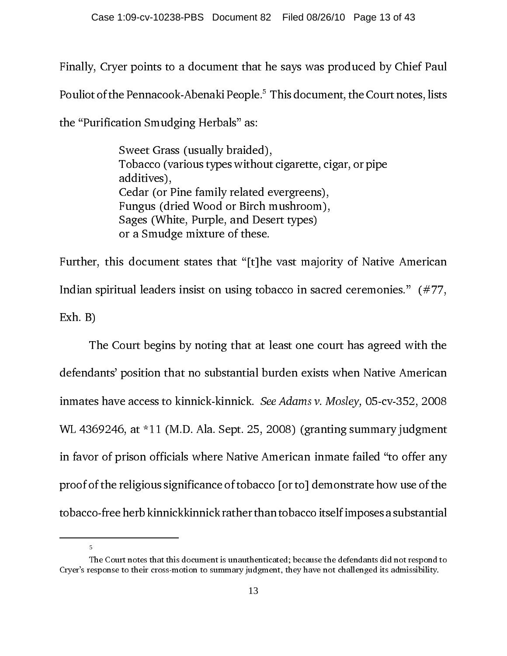Finally, Cryer points to a document that he says was produced by Chief Paul Pouliot of the Pennacook-Abenaki People. $^{\rm b}$  This document, the Court notes, lists the "Purification Smudging Herbals" as:

> Sweet Grass (usually braided), Tobacco (various types without cigarette, cigar, or pipe additives), Cedar (or Pine family related evergreens), Fungus (dried Wood or Birch mushroom), Sages (White, Purple, and Desert types) or a Smudge mixture of these.

Further, this document states that "[t]he vast majority of Native American Indian spiritual leaders insist on using tobacco in sacred ceremonies." (#77, Exh. B)

The Court begins by noting that at least one court has agreed with the defendants' position that no substantial burden exists when Native American inmates have access to kinnick-kinnick. See Adams v. Mosley, 05-cv-352, 2008 WL 4369246, at \*11 (M.D. Ala. Sept. 25, 2008) (granting summary judgment in favor of prison officials where Native American inmate failed "to offer any proof of the religious significance of tobacco [or to] demonstrate how use of the tobacco-free herb kinnickkinnick rather than tobacco itself imposes a substantial

5

The Court notes that this document is unauthenticated; because the defendants did not respond to Cryer's response to their cross-motion to summary judgment, they have not challenged its admissibility.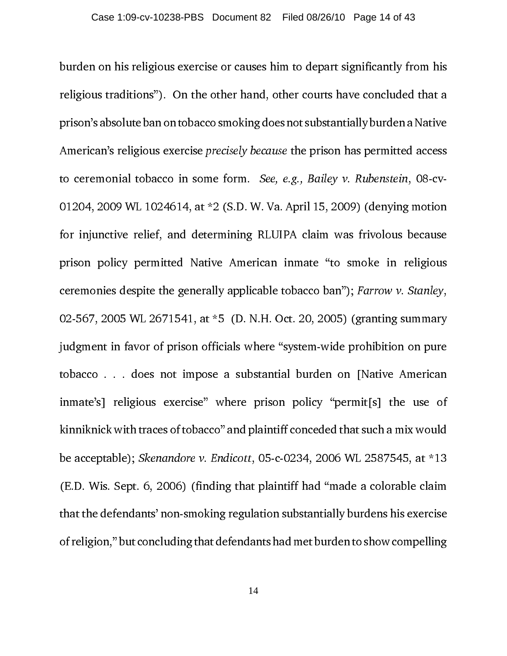burden on his religious exercise or causes him to depart significantly from his religious traditions"). On the other hand, other courts have concluded that a prison's absolute ban on tobacco smoking does not substantially burden a Native American's religious exercise precisely because the prison has permitted access to ceremonial tobacco in some form. See, e.g., Bailey v. Rubenstein, 08-cv-01204, 2009 WL 1024614, at \*2 (S.D. W. Va. April 15, 2009) (denying motion for injunctive relief, and determining RLUIPA claim was frivolous because prison policy permitted Native American inmate "to smoke in religious ceremonies despite the generally applicable tobacco ban"); Farrow v. Stanley, 02-567, 2005 WL 2671541, at \*5 (D. N.H. Oct. 20, 2005) (granting summary judgment in favor of prison officials where "system-wide prohibition on pure tobacco . . . does not impose a substantial burden on [Native American inmate's] religious exercise" where prison policy "permit[s] the use of kinniknick with traces of tobacco" and plaintiff conceded that such a mix would be acceptable); Skenandore v. Endicott, 05-c-0234, 2006 WL 2587545, at \*13 (E.D. Wis. Sept. 6, 2006) (finding that plaintiff had "made a colorable claim that the defendants' non-smoking regulation substantially burdens his exercise of religion," but concluding that defendants had met burden to show compelling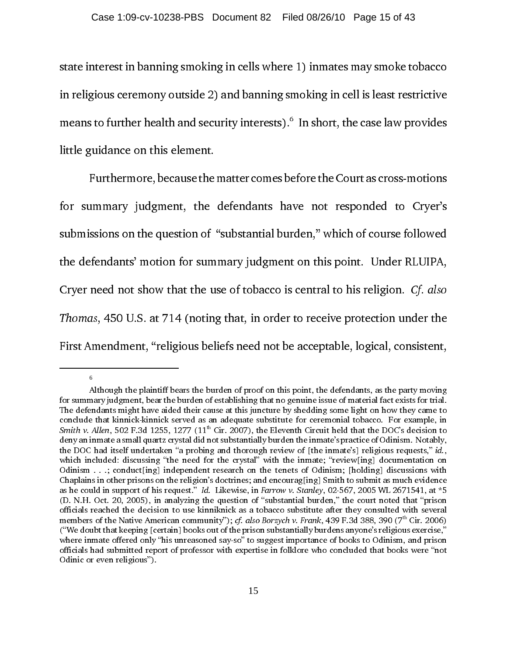state interest in banning smoking in cells where 1) inmates may smoke tobacco in religious ceremony outside 2) and banning smoking in cell is least restrictive means to further health and security interests). $^{\circ}\,$  In short, the case law provides little guidance on this element.

Furthermore, because the matter comes before the Court as cross-motions for summary judgment, the defendants have not responded to Cryer's submissions on the question of "substantial burden," which of course followed the defendants' motion for summary judgment on this point. Under RLUIPA, Cryer need not show that the use of tobacco is central to his religion. Cf. also Thomas, 450 U.S. at 714 (noting that, in order to receive protection under the First Amendment, "religious beliefs need not be acceptable, logical, consistent,

6

Although the plaintiff bears the burden of proof on this point, the defendants, as the party moving for summary judgment, bear the burden of establishing that no genuine issue of material fact exists for trial. The defendants might have aided their cause at this juncture by shedding some light on how they came to conclude that kinnick-kinnick served as an adequate substitute for ceremonial tobacco. For example, in *Smith v. Allen*, 502 F.3d 1255, 1277 (11<sup>th</sup> Cir. 2007), the Eleventh Circuit held that the DOC's decision to Smith v. Allen, 502 F.3d 1255, 1277 (11<sup>th</sup> Cir. 2007), the Eleventh Circuit held that the DOC's decision to deny an inmate a small quartz crystal did not substantially burden the inmate's practice of Odinism. Notably, th deny an inmate a small quartz crystal did not substantially burden the inmate's practice of Odinism. Notably, the DOC had itself undertaken "a probing and thorough review of [the inmate's] religious requests," id., the DOC had itself undertaken "a probing and thorough review of [the inmate's] religious requests," *id.*, which included: discussing "the need for the crystal" with the inmate; "review[ing] documentation on Odinism ...; c which included: discussing "the need for the crystal" with the inmate; "review[ing] documentation on Odinism . . .; conduct[ing] independent research on the tenets of Odinism; [holding] discussions with Chaplains in other prisons on the religion's doctrines; and encourag[ing] Smith to submit as much evidence as he could in support of his request." Id. Likewise, in Farrow v. Stanley, 02-567, 2005 WL 2671541, at \*5<br>
(D. N.H. Oct. 20, 2005), in analyzing the question of "substantial burden," the court noted that "prison<br>
officia (D. N.H. Oct. 20, 2005), in analyzing the question of "substantial burden," the court noted that "prison officials reached the decision to use kinniknick as a tobacco substitute after they consulted with several members of the Native American community"); *cf. also Borzych v. Frank*, 439 F.3d 388, 390 (7<sup>th</sup> Cir. 2006)<br>
("We doubt that keeping [certain] books out of the prison substantially burdens anyone's religious exercise,"<br> ("We doubt that keeping [certain] books out of the prison substantially burdens anyone's religious exercise," where inmate offered only "his unreasoned say-so" to suggest importance of books to Odinism, and prison officials had submitted report of professor with expertise in folklore who concluded that books were "not Odinic or even religious").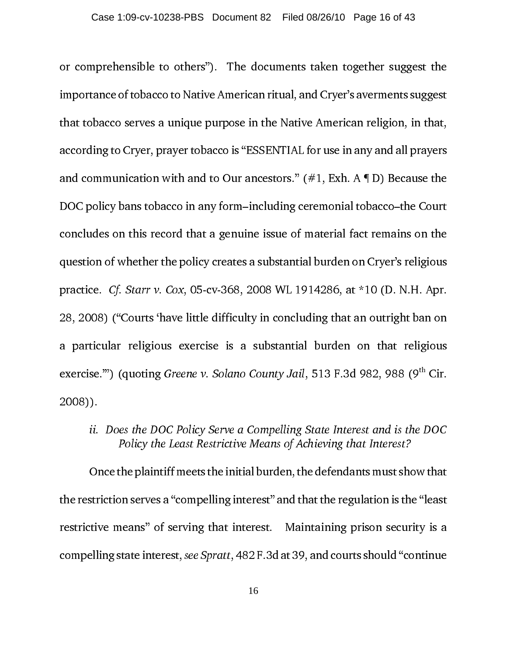or comprehensible to others"). The documents taken together suggest the importance of tobacco to Native American ritual, and Cryer's averments suggest that tobacco serves a unique purpose in the Native American religion, in that, according to Cryer, prayer tobacco is "ESSENTIAL for use in any and all prayers and communication with and to Our ancestors."  $(\#1, \text{Exh. A} \P D)$  Because the DOC policy bans tobacco in any form–including ceremonial tobacco–the Court concludes on this record that a genuine issue of material fact remains on the question of whether the policy creates a substantial burden on Cryer's religious practice. Cf. Starr v. Cox, 05-cv-368, 2008 WL 1914286, at \*10 (D. N.H. Apr. 28, 2008) ("Courts 'have little difficulty in concluding that an outright ban on a particular religious exercise is a substantial burden on that religious exercise."") (quoting Greene v. Solano County Jail, 513 F.3d 982, 988 (9<sup>th</sup> Cir. 2008)).

ii. Does the DOC Policy Serve a Compelling State Interest and is the DOC Policy the Least Restrictive Means of Achieving that Interest?

Once the plaintiff meets the initial burden, the defendants must show that the restriction serves a "compelling interest" and that the regulation is the "least restrictive means" of serving that interest. Maintaining prison security is a compelling state interest, see Spratt, 482 F.3d at 39, and courts should "continue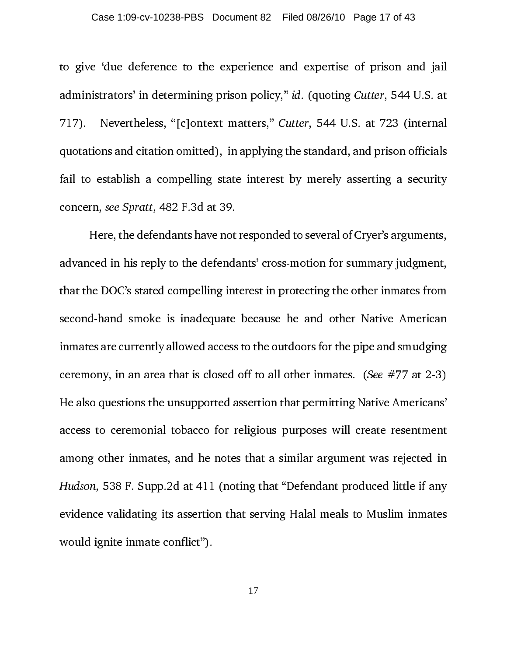#### Case 1:09-cv-10238-PBS Document 82 Filed 08/26/10 Page 17 of 43

to give 'due deference to the experience and expertise of prison and jail administrators' in determining prison policy," id. (quoting Cutter, 544 U.S. at 717). Nevertheless, "[c]ontext matters," Cutter, 544 U.S. at 723 (internal quotations and citation omitted), in applying the standard, and prison officials fail to establish a compelling state interest by merely asserting a security concern, see Spratt, 482 F.3d at 39.

Here, the defendants have not responded to several of Cryer's arguments, advanced in his reply to the defendants' cross-motion for summary judgment, that the DOC's stated compelling interest in protecting the other inmates from second-hand smoke is inadequate because he and other Native American inmates are currently allowed access to the outdoors for the pipe and smudging ceremony, in an area that is closed off to all other inmates. (See  $#77$  at 2-3) He also questions the unsupported assertion that permitting Native Americans' access to ceremonial tobacco for religious purposes will create resentment among other inmates, and he notes that a similar argument was rejected in Hudson, 538 F. Supp.2d at 411 (noting that "Defendant produced little if any evidence validating its assertion that serving Halal meals to Muslim inmates would ignite inmate conflict").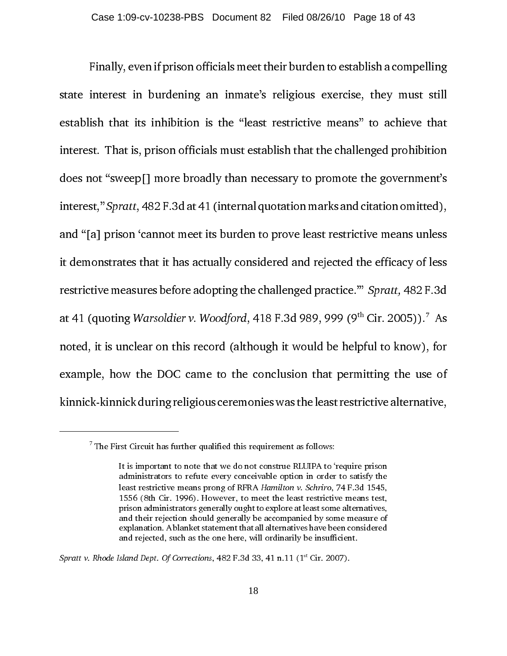Finally, even if prison officials meet their burden to establish a compelling state interest in burdening an inmate's religious exercise, they must still establish that its inhibition is the "least restrictive means" to achieve that interest. That is, prison officials must establish that the challenged prohibition does not "sweep[] more broadly than necessary to promote the government's interest," Spratt, 482 F.3d at 41 (internal quotation marks and citation omitted), and "[a] prison 'cannot meet its burden to prove least restrictive means unless it demonstrates that it has actually considered and rejected the efficacy of less restrictive measures before adopting the challenged practice.'" Spratt, 482 F.3d at 41 (quoting Warsoldier v. Woodford, 418 F.3d 989, 999 (9 $^{\rm th}$  Cir. 2005)). $^{\prime\prime}$  As noted, it is unclear on this record (although it would be helpful to know), for example, how the DOC came to the conclusion that permitting the use of kinnick-kinnick during religious ceremonies was the least restrictive alternative,

Spratt v. Rhode Island Dept. Of Corrections,  $482$  F.3d 33, 41 n.11 (1<sup>st</sup> Cir. 2007).

 $<sup>7</sup>$  The First Circuit has further qualified this requirement as follows:</sup>

It is important to note that we do not construe RLUIPA to 'require prison administrators to refute every conceivable option in order to satisfy the least restrictive means prong of RFRA Hamilton v. Schriro, 74 F.3d 1545, 1556 (8th Cir. 1996). However, to meet the least restrictive means test, prison administrators generally ought to explore at least some alternatives, and their rejection should generally be accompanied by some measure of explanation. A blanket statement that all alternatives have been considered and rejected, such as the one here, will ordinarily be insufficient.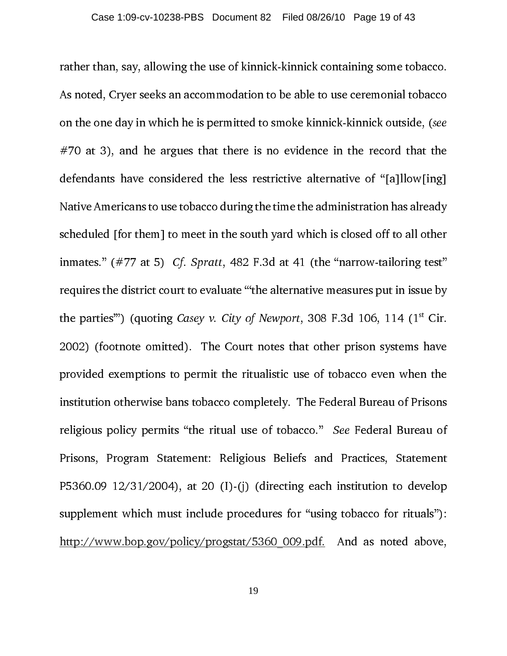rather than, say, allowing the use of kinnick-kinnick containing some tobacco. As noted, Cryer seeks an accommodation to be able to use ceremonial tobacco on the one day in which he is permitted to smoke kinnick-kinnick outside, (see  $#70$  at 3), and he argues that there is no evidence in the record that the defendants have considered the less restrictive alternative of "[a]llow[ing] Native Americans to use tobacco during the time the administration has already scheduled [for them] to meet in the south yard which is closed off to all other inmates." (#77 at 5) *Cf. Spratt*, 482 F.3d at 41 (the "narrow-tailoring test" requires the district court to evaluate "'the alternative measures put in issue by the parties") (quoting Casey v. City of Newport, 308 F.3d 106, 114  $(1^{st}$  Cir. 2002) (footnote omitted). The Court notes that other prison systems have provided exemptions to permit the ritualistic use of tobacco even when the institution otherwise bans tobacco completely. The Federal Bureau of Prisons religious policy permits "the ritual use of tobacco." See Federal Bureau of Prisons, Program Statement: Religious Beliefs and Practices, Statement P5360.09  $12/31/2004$ , at 20 (I)-(j) (directing each institution to develop supplement which must include procedures for "using tobacco for rituals"): http://www.bop.gov/policy/progstat/5360\_009.pdf. And as noted above,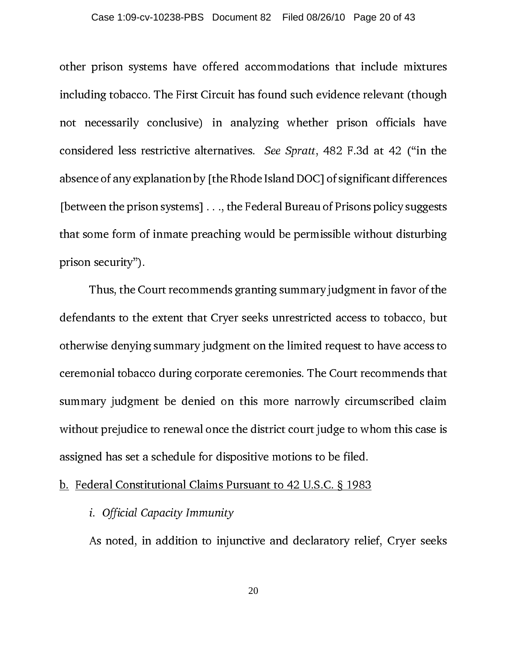other prison systems have offered accommodations that include mixtures including tobacco. The First Circuit has found such evidence relevant (though not necessarily conclusive) in analyzing whether prison officials have considered less restrictive alternatives. See Spratt, 482 F.3d at 42 ("in the absence of any explanation by [the Rhode Island DOC] of significant differences [between the prison systems] . . ., the Federal Bureau of Prisons policy suggests that some form of inmate preaching would be permissible without disturbing prison security").

Thus, the Court recommends granting summary judgment in favor of the defendants to the extent that Cryer seeks unrestricted access to tobacco, but otherwise denying summary judgment on the limited request to have access to ceremonial tobacco during corporate ceremonies. The Court recommends that summary judgment be denied on this more narrowly circumscribed claim without prejudice to renewal once the district court judge to whom this case is assigned has set a schedule for dispositive motions to be filed.

#### b. Federal Constitutional Claims Pursuant to 42 U.S.C. § 1983

i. Official Capacity Immunity

As noted, in addition to injunctive and declaratory relief, Cryer seeks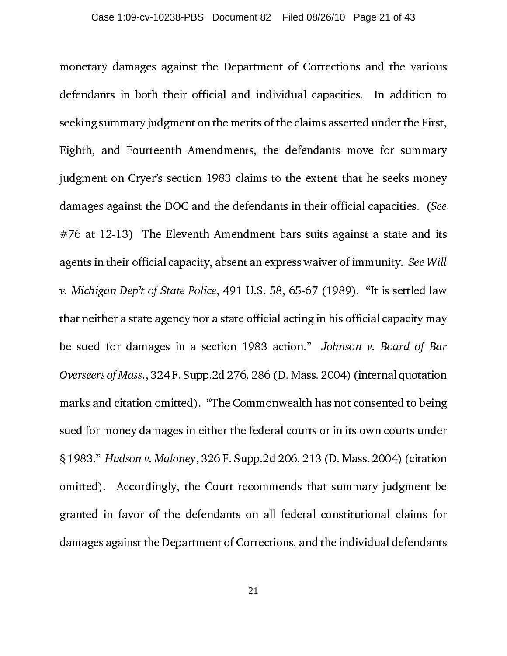monetary damages against the Department of Corrections and the various defendants in both their official and individual capacities. In addition to seeking summary judgment on the merits of the claims asserted under the First, Eighth, and Fourteenth Amendments, the defendants move for summary judgment on Cryer's section 1983 claims to the extent that he seeks money damages against the DOC and the defendants in their official capacities. (See  $#76$  at 12-13) The Eleventh Amendment bars suits against a state and its agents in their official capacity, absent an express waiver of immunity. See Will v. Michigan Dep't of State Police, 491 U.S. 58, 65-67 (1989). "It is settled law that neither a state agency nor a state official acting in his official capacity may be sued for damages in a section 1983 action." Johnson v. Board of Bar Overseers of Mass., 324 F. Supp.2d 276, 286 (D. Mass. 2004) (internal quotation marks and citation omitted). "The Commonwealth has not consented to being sued for money damages in either the federal courts or in its own courts under § 1983." Hudson v. Maloney, 326 F. Supp.2d 206, 213 (D. Mass. 2004) (citation omitted). Accordingly, the Court recommends that summary judgment be granted in favor of the defendants on all federal constitutional claims for damages against the Department of Corrections, and the individual defendants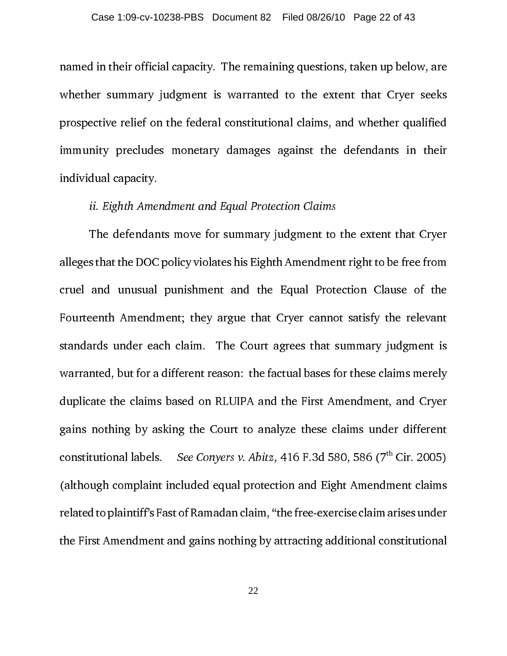named in their official capacity. The remaining questions, taken up below, are whether summary judgment is warranted to the extent that Cryer seeks prospective relief on the federal constitutional claims, and whether qualified immunity precludes monetary damages against the defendants in their individual capacity.

#### ii. Eighth Amendment and Equal Protection Claims

The defendants move for summary judgment to the extent that Cryer alleges that the DOC policy violates his Eighth Amendment right to be free from cruel and unusual punishment and the Equal Protection Clause of the Fourteenth Amendment; they argue that Cryer cannot satisfy the relevant standards under each claim. The Court agrees that summary judgment is warranted, but for a different reason: the factual bases for these claims merely duplicate the claims based on RLUIPA and the First Amendment, and Cryer gains nothing by asking the Court to analyze these claims under different constitutional labels. See Conyers v. Abitz, 416 F.3d 580, 586 ( $7<sup>th</sup>$  Cir. 2005) (although complaint included equal protection and Eight Amendment claims related to plaintiff's Fast of Ramadan claim, "the free-exercise claim arises under the First Amendment and gains nothing by attracting additional constitutional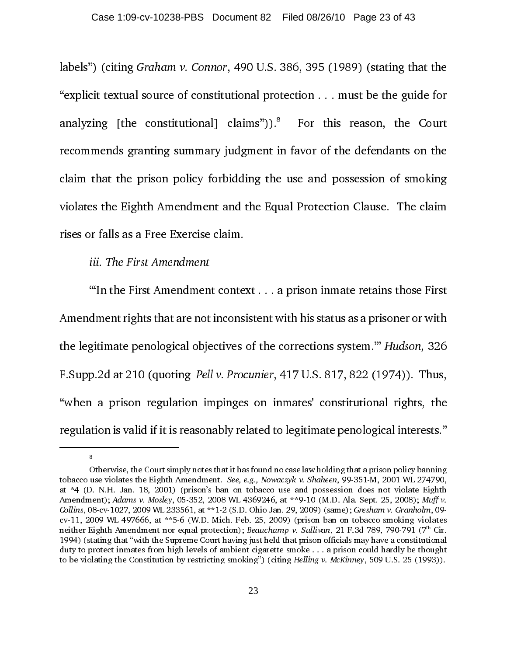labels") (citing Graham v. Connor, 490 U.S. 386, 395 (1989) (stating that the "explicit textual source of constitutional protection . . . must be the guide for analyzing [the constitutional] claims" $)$ ).<sup>8</sup> For this reason, the Court recommends granting summary judgment in favor of the defendants on the claim that the prison policy forbidding the use and possession of smoking violates the Eighth Amendment and the Equal Protection Clause. The claim rises or falls as a Free Exercise claim.

#### iii. The First Amendment

8

"'In the First Amendment context . . . a prison inmate retains those First Amendment rights that are not inconsistent with his status as a prisoner or with the legitimate penological objectives of the corrections system.'" Hudson, 326 F.Supp.2d at 210 (quoting Pell v. Procunier, 417 U.S. 817, 822 (1974)). Thus, "when a prison regulation impinges on inmates' constitutional rights, the regulation is valid if it is reasonably related to legitimate penological interests."

Otherwise, the Court simply notes that it has found no case law holding that a prison policy banning tobacco use violates the Eighth Amendment. See, e.g., Nowaczyk v. Shaheen, 99-351-M, 2001 WL 274790, at \*4 (D. N.H. Jan. 18, 2001) (prison's ban on tobacco use and possession does not violate Eighth Amendment); Adams v. Mosley, 05-352, 2008 WL 4369246, at \*\*9-10 (M.D. Ala. Sept. 25, 2008); Muff v. Collins, 08-cv-1027, 2009 WL 233561, at \*\*1-2 (S.D. Ohio Jan. 29, 2009) (same); Gresham v. Granholm, 09 cv-11, 2009 WL 497666, at \*\*5-6 (W.D. Mich. Feb. 25, 2009) (prison ban on tobacco smoking violates neither Eighth Amendment nor equal protection); Beauchamp v. Sullivan, 21 F.3d 789, 790-791 (7<sup>th</sup> Cir. 1994) (stating that "with the Supreme Court having just held that prison officials may have a constitutional duty to protect inmates from high levels of ambient cigarette smoke . . . a prison could hardly be thought to be violating the Constitution by restricting smoking") (citing Helling v. McKinney, 509 U.S. 25 (1993)).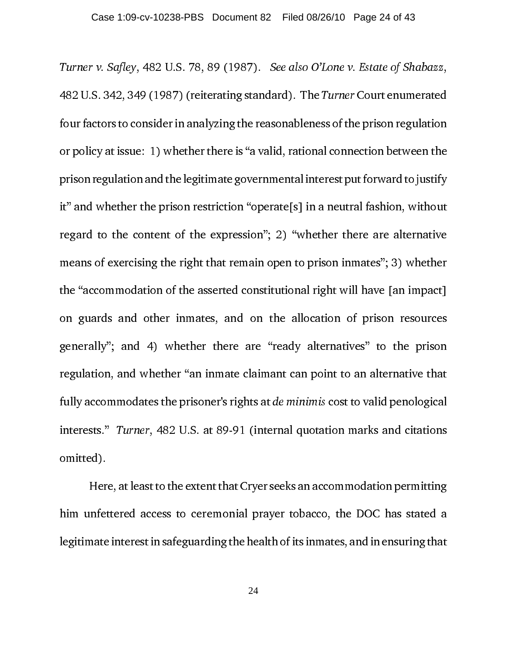Turner v. Safley, 482 U.S. 78, 89 (1987). See also O'Lone v. Estate of Shabazz, 482 U.S. 342, 349 (1987) (reiterating standard). The Turner Court enumerated four factors to consider in analyzing the reasonableness of the prison regulation or policy at issue: 1) whether there is "a valid, rational connection between the prison regulation and the legitimate governmental interest put forward to justify it" and whether the prison restriction "operate[s] in a neutral fashion, without regard to the content of the expression"; 2) "whether there are alternative means of exercising the right that remain open to prison inmates"; 3) whether the "accommodation of the asserted constitutional right will have [an impact] on guards and other inmates, and on the allocation of prison resources generally"; and 4) whether there are "ready alternatives" to the prison regulation, and whether "an inmate claimant can point to an alternative that fully accommodates the prisoner's rights at de minimis cost to valid penological interests." Turner, 482 U.S. at 89-91 (internal quotation marks and citations omitted).

Here, at least to the extent that Cryer seeks an accommodation permitting him unfettered access to ceremonial prayer tobacco, the DOC has stated a legitimate interest in safeguarding the health of its inmates, and in ensuring that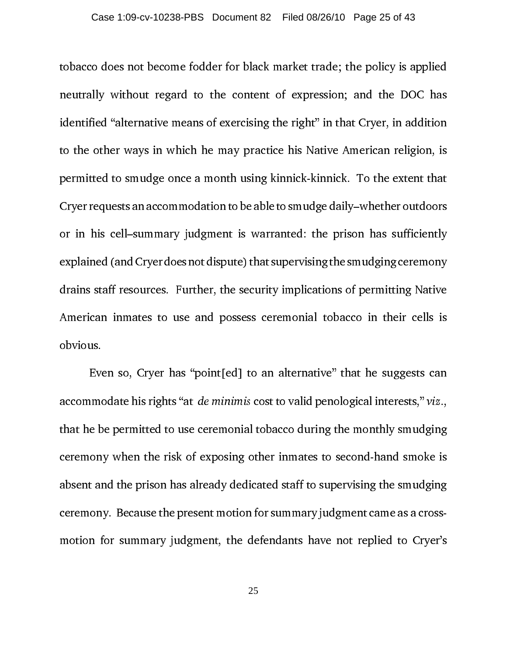tobacco does not become fodder for black market trade; the policy is applied neutrally without regard to the content of expression; and the DOC has identified "alternative means of exercising the right" in that Cryer, in addition to the other ways in which he may practice his Native American religion, is permitted to smudge once a month using kinnick-kinnick. To the extent that Cryer requests an accommodation to be able to smudge daily–whether outdoors or in his cell–summary judgment is warranted: the prison has sufficiently explained (and Cryer does not dispute) that supervising the smudging ceremony drains staff resources. Further, the security implications of permitting Native American inmates to use and possess ceremonial tobacco in their cells is obvious.

Even so, Cryer has "point[ed] to an alternative" that he suggests can accommodate his rights "at de minimis cost to valid penological interests," viz., that he be permitted to use ceremonial tobacco during the monthly smudging ceremony when the risk of exposing other inmates to second-hand smoke is absent and the prison has already dedicated staff to supervising the smudging ceremony. Because the present motion for summary judgment came as a crossmotion for summary judgment, the defendants have not replied to Cryer's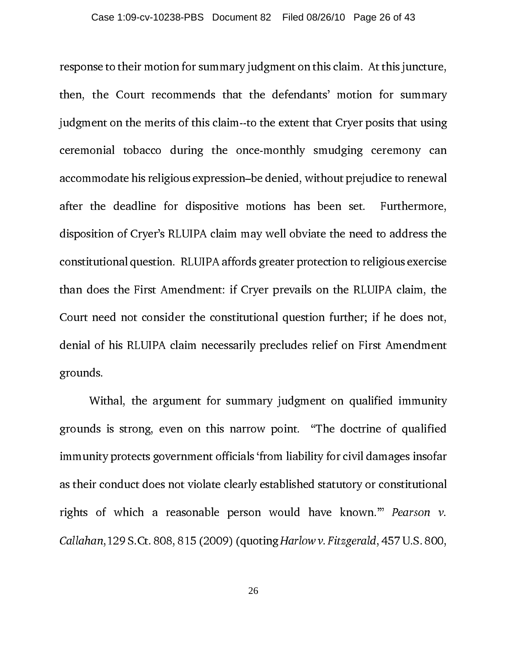response to their motion for summary judgment on this claim. At this juncture, then, the Court recommends that the defendants' motion for summary judgment on the merits of this claim--to the extent that Cryer posits that using ceremonial tobacco during the once-monthly smudging ceremony can accommodate his religious expression–be denied, without prejudice to renewal after the deadline for dispositive motions has been set. Furthermore, disposition of Cryer's RLUIPA claim may well obviate the need to address the constitutional question. RLUIPA affords greater protection to religious exercise than does the First Amendment: if Cryer prevails on the RLUIPA claim, the Court need not consider the constitutional question further; if he does not, denial of his RLUIPA claim necessarily precludes relief on First Amendment grounds.

Withal, the argument for summary judgment on qualified immunity grounds is strong, even on this narrow point. "The doctrine of qualified immunity protects government officials 'from liability for civil damages insofar as their conduct does not violate clearly established statutory or constitutional rights of which a reasonable person would have known.'" Pearson v. Callahan,129 S.Ct. 808, 815 (2009) (quoting Harlow v. Fitzgerald, 457 U.S. 800,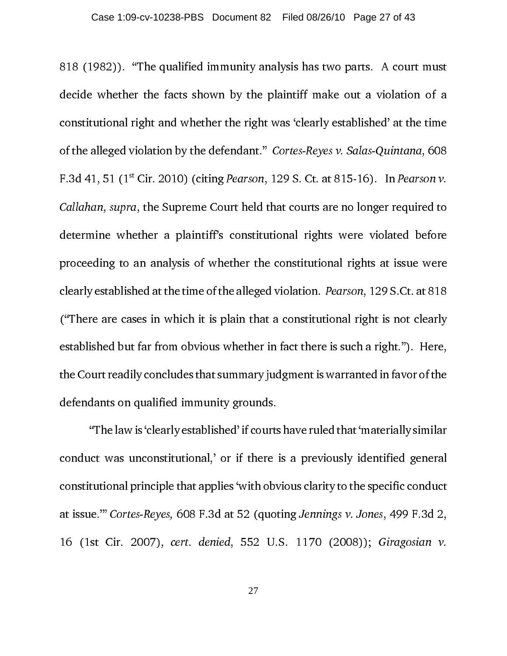818 (1982)). "The qualified immunity analysis has two parts. A court must decide whether the facts shown by the plaintiff make out a violation of a constitutional right and whether the right was 'clearly established' at the time of the alleged violation by the defendant." Cortes-Reyes v. Salas-Quintana, 608 F.3d 41, 51 ( $1^{\text{st}}$  Cir. 2010) (citing *Pearson*, 129 S. Ct. at 815-16). In *Pearson v.* Callahan, supra, the Supreme Court held that courts are no longer required to determine whether a plaintiff's constitutional rights were violated before proceeding to an analysis of whether the constitutional rights at issue were clearly established at the time of the alleged violation. Pearson, 129 S.Ct. at 818 ("There are cases in which it is plain that a constitutional right is not clearly established but far from obvious whether in fact there is such a right."). Here, the Court readily concludes that summary judgment is warranted in favor of the defendants on qualified immunity grounds.

"The law is 'clearly established' if courts have ruled that 'materially similar conduct was unconstitutional,' or if there is a previously identified general constitutional principle that applies 'with obvious clarity to the specific conduct at issue.'" Cortes-Reyes, 608 F.3d at 52 (quoting Jennings v. Jones, 499 F.3d 2, 16 (1st Cir. 2007), cert. denied, 552 U.S. 1170 (2008)); Giragosian v.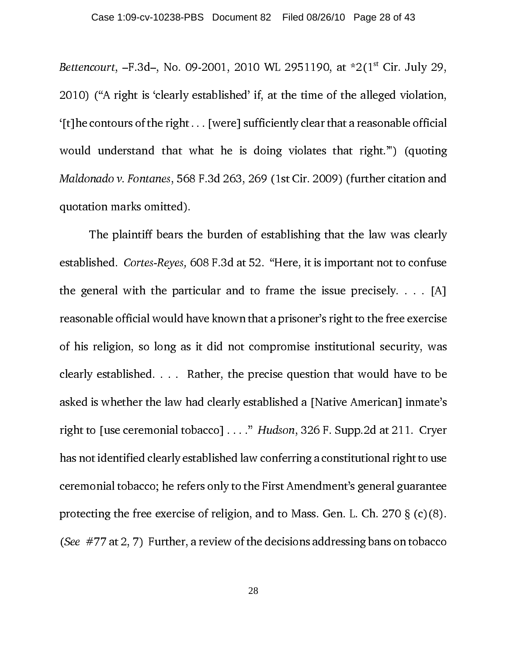Bettencourt,  $-F.3d$ , No. 09-2001, 2010 WL 2951190, at  $*2(1<sup>st</sup> Cir. July 29,$ 2010) ("A right is 'clearly established' if, at the time of the alleged violation, '[t]he contours of the right . . . [were] sufficiently clear that a reasonable official would understand that what he is doing violates that right.'") (quoting Maldonado v. Fontanes, 568 F.3d 263, 269 (1st Cir. 2009) (further citation and quotation marks omitted).

The plaintiff bears the burden of establishing that the law was clearly established. Cortes-Reyes, 608 F.3d at 52. "Here, it is important not to confuse the general with the particular and to frame the issue precisely.  $\ldots$  [A] reasonable official would have known that a prisoner's right to the free exercise of his religion, so long as it did not compromise institutional security, was clearly established. . . . Rather, the precise question that would have to be asked is whether the law had clearly established a [Native American] inmate's right to [use ceremonial tobacco] . . . ." Hudson, 326 F. Supp.2d at 211. Cryer has not identified clearly established law conferring a constitutional right to use ceremonial tobacco; he refers only to the First Amendment's general guarantee protecting the free exercise of religion, and to Mass. Gen. L. Ch. 270  $\S$  (c)(8). (See #77 at 2, 7) Further, a review of the decisions addressing bans on tobacco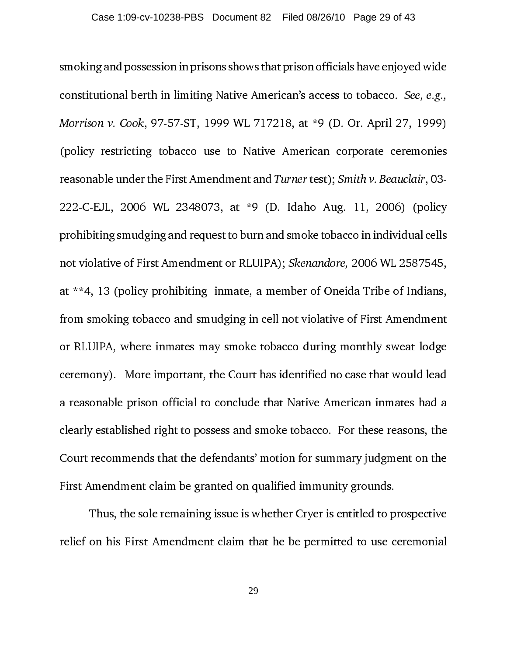smoking and possession in prisons shows that prison officials have enjoyed wide constitutional berth in limiting Native American's access to tobacco. See, e.g., Morrison v. Cook, 97-57-ST, 1999 WL 717218, at \*9 (D. Or. April 27, 1999) (policy restricting tobacco use to Native American corporate ceremonies reasonable under the First Amendment and Turner test); Smith v. Beauclair, 03- 222-C-EJL, 2006 WL 2348073, at \*9 (D. Idaho Aug. 11, 2006) (policy prohibiting smudging and request to burn and smoke tobacco in individual cells not violative of First Amendment or RLUIPA); Skenandore, 2006 WL 2587545, at \*\*4, 13 (policy prohibiting inmate, a member of Oneida Tribe of Indians, from smoking tobacco and smudging in cell not violative of First Amendment or RLUIPA, where inmates may smoke tobacco during monthly sweat lodge ceremony). More important, the Court has identified no case that would lead a reasonable prison official to conclude that Native American inmates had a clearly established right to possess and smoke tobacco. For these reasons, the Court recommends that the defendants' motion for summary judgment on the First Amendment claim be granted on qualified immunity grounds.

Thus, the sole remaining issue is whether Cryer is entitled to prospective relief on his First Amendment claim that he be permitted to use ceremonial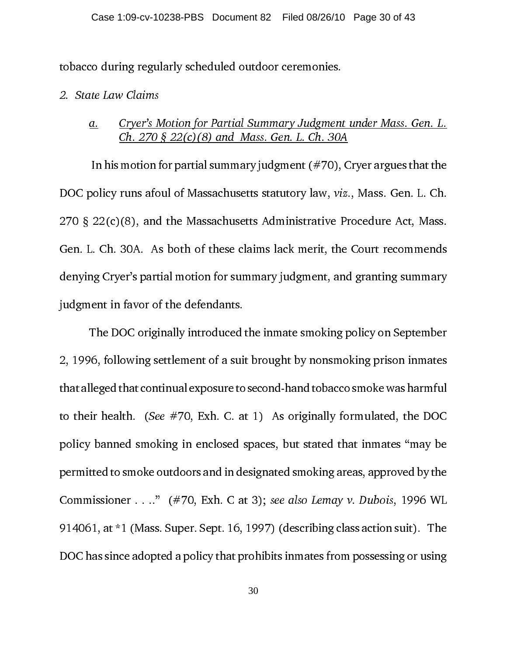tobacco during regularly scheduled outdoor ceremonies.

#### 2. State Law Claims

#### a. Cryer's Motion for Partial Summary Judgment under Mass. Gen. L. Ch. 270 § 22(c)(8) and Mass. Gen. L. Ch. 30A

 In his motion for partial summary judgment (#70), Cryer argues that the DOC policy runs afoul of Massachusetts statutory law, viz., Mass. Gen. L. Ch. 270 § 22(c)(8), and the Massachusetts Administrative Procedure Act, Mass. Gen. L. Ch. 30A. As both of these claims lack merit, the Court recommends denying Cryer's partial motion for summary judgment, and granting summary judgment in favor of the defendants.

The DOC originally introduced the inmate smoking policy on September 2, 1996, following settlement of a suit brought by nonsmoking prison inmates that alleged that continual exposure to second-hand tobacco smoke was harmful to their health. (See  $#70$ , Exh. C. at 1) As originally formulated, the DOC policy banned smoking in enclosed spaces, but stated that inmates "may be permitted to smoke outdoors and in designated smoking areas, approved by the Commissioner . . .." (#70, Exh. C at 3); see also Lemay v. Dubois, 1996 WL 914061, at \*1 (Mass. Super. Sept. 16, 1997) (describing class action suit). The DOC has since adopted a policy that prohibits inmates from possessing or using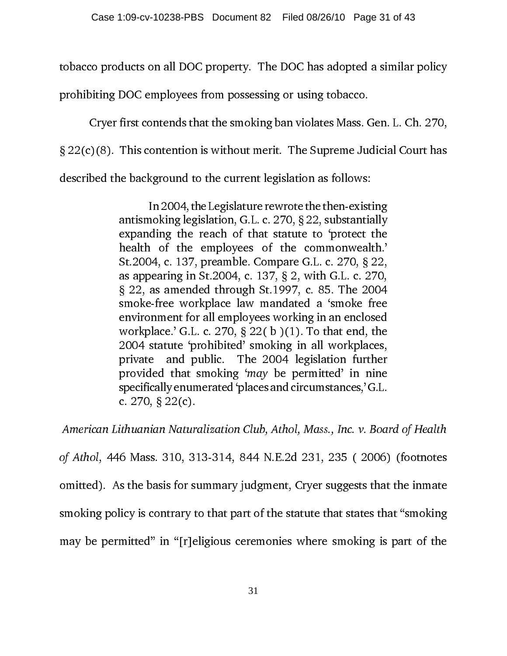tobacco products on all DOC property. The DOC has adopted a similar policy

prohibiting DOC employees from possessing or using tobacco.

Cryer first contends that the smoking ban violates Mass. Gen. L. Ch. 270,

§ 22(c)(8). This contention is without merit. The Supreme Judicial Court has

described the background to the current legislation as follows:

In 2004, the Legislature rewrote the then-existing antismoking legislation, G.L. c. 270, § 22, substantially expanding the reach of that statute to 'protect the health of the employees of the commonwealth.' St.2004, c. 137, preamble. Compare G.L. c. 270, § 22, as appearing in St.2004, c. 137, § 2, with G.L. c. 270, § 22, as amended through St.1997, c. 85. The 2004 smoke-free workplace law mandated a 'smoke free environment for all employees working in an enclosed workplace.' G.L. c. 270, § 22( b )(1). To that end, the 2004 statute 'prohibited' smoking in all workplaces, private and public. The 2004 legislation further provided that smoking 'may be permitted' in nine specifically enumerated 'places and circumstances,' G.L. c. 270, § 22(c).

 American Lithuanian Naturalization Club, Athol, Mass., Inc. v. Board of Health of Athol, 446 Mass. 310, 313-314, 844 N.E.2d 231, 235 ( 2006) (footnotes omitted). As the basis for summary judgment, Cryer suggests that the inmate smoking policy is contrary to that part of the statute that states that "smoking may be permitted" in "[r]eligious ceremonies where smoking is part of the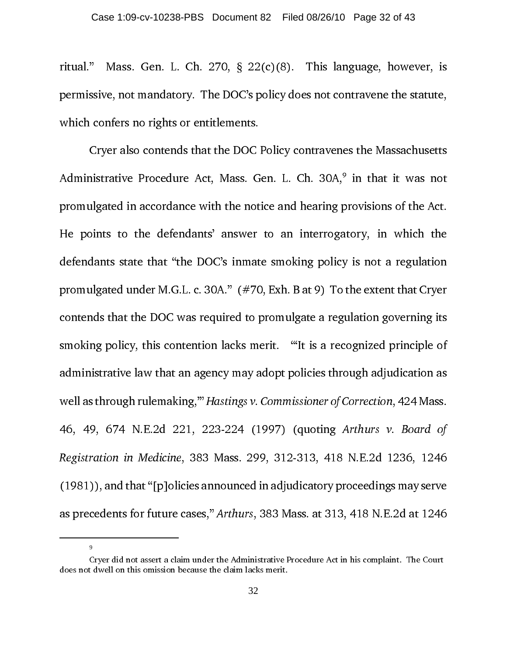ritual." Mass. Gen. L. Ch. 270,  $\S$  22(c)(8). This language, however, is permissive, not mandatory. The DOC's policy does not contravene the statute, which confers no rights or entitlements.

Cryer also contends that the DOC Policy contravenes the Massachusetts Administrative Procedure Act, Mass. Gen. L. Ch. 30A,<sup>9</sup> in that it was not promulgated in accordance with the notice and hearing provisions of the Act. He points to the defendants' answer to an interrogatory, in which the defendants state that "the DOC's inmate smoking policy is not a regulation promulgated under M.G.L. c. 30A." (#70, Exh. B at 9) To the extent that Cryer contends that the DOC was required to promulgate a regulation governing its smoking policy, this contention lacks merit. "'It is a recognized principle of administrative law that an agency may adopt policies through adjudication as well as through rulemaking,'" Hastings v. Commissioner of Correction, 424 Mass. 46, 49, 674 N.E.2d 221, 223-224 (1997) (quoting Arthurs v. Board of Registration in Medicine, 383 Mass. 299, 312-313, 418 N.E.2d 1236, 1246 (1981)), and that "[p]olicies announced in adjudicatory proceedings may serve as precedents for future cases," Arthurs, 383 Mass. at 313, 418 N.E.2d at 1246

9

Example 1 divel on this omission because the claim lacks merit.<br>32  $d$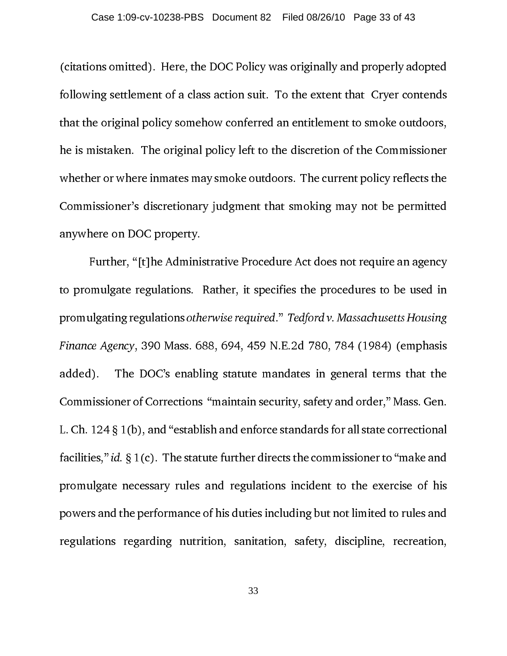(citations omitted). Here, the DOC Policy was originally and properly adopted following settlement of a class action suit. To the extent that Cryer contends that the original policy somehow conferred an entitlement to smoke outdoors, he is mistaken. The original policy left to the discretion of the Commissioner whether or where inmates may smoke outdoors. The current policy reflects the Commissioner's discretionary judgment that smoking may not be permitted anywhere on DOC property.

Further, "[t]he Administrative Procedure Act does not require an agency to promulgate regulations. Rather, it specifies the procedures to be used in promulgating regulations otherwise required." Tedford v. Massachusetts Housing Finance Agency, 390 Mass. 688, 694, 459 N.E.2d 780, 784 (1984) (emphasis added). The DOC's enabling statute mandates in general terms that the Commissioner of Corrections "maintain security, safety and order," Mass. Gen. L. Ch. 124 § 1(b), and "establish and enforce standards for all state correctional facilities," id.  $\S 1(c)$ . The statute further directs the commissioner to "make and promulgate necessary rules and regulations incident to the exercise of his powers and the performance of his duties including but not limited to rules and regulations regarding nutrition, sanitation, safety, discipline, recreation,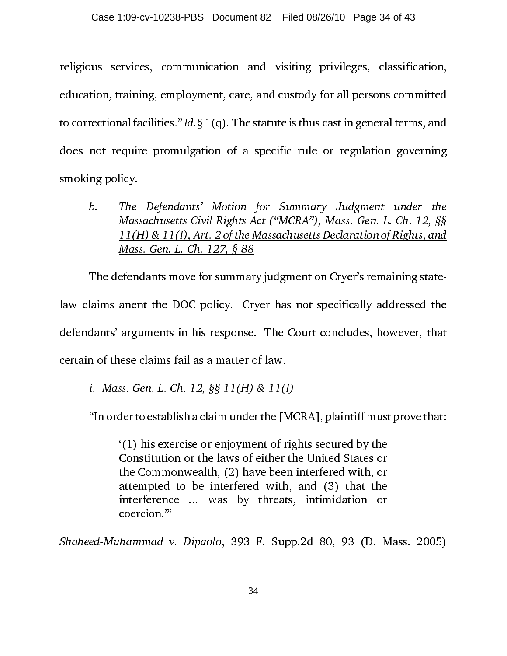religious services, communication and visiting privileges, classification, education, training, employment, care, and custody for all persons committed to correctional facilities." Id.  $\S 1(q)$ . The statute is thus cast in general terms, and does not require promulgation of a specific rule or regulation governing smoking policy.

b. The Defendants' Motion for Summary Judgment under the Massachusetts Civil Rights Act ("MCRA"), Mass. Gen. L. Ch. 12, §§ 11(H) & 11(I), Art. 2 of the Massachusetts Declaration of Rights, and Mass. Gen. L. Ch. 127, § 88

The defendants move for summary judgment on Cryer's remaining statelaw claims anent the DOC policy. Cryer has not specifically addressed the defendants' arguments in his response. The Court concludes, however, that certain of these claims fail as a matter of law.

i. Mass. Gen. L. Ch. 12, §§ 11(H) & 11(I)

"In order to establish a claim under the [MCRA], plaintiff must prove that:

'(1) his exercise or enjoyment of rights secured by the Constitution or the laws of either the United States or the Commonwealth, (2) have been interfered with, or attempted to be interfered with, and (3) that the interference ... was by threats, intimidation or coercion.'"

Shaheed-Muhammad v. Dipaolo, 393 F. Supp.2d 80, 93 (D. Mass. 2005)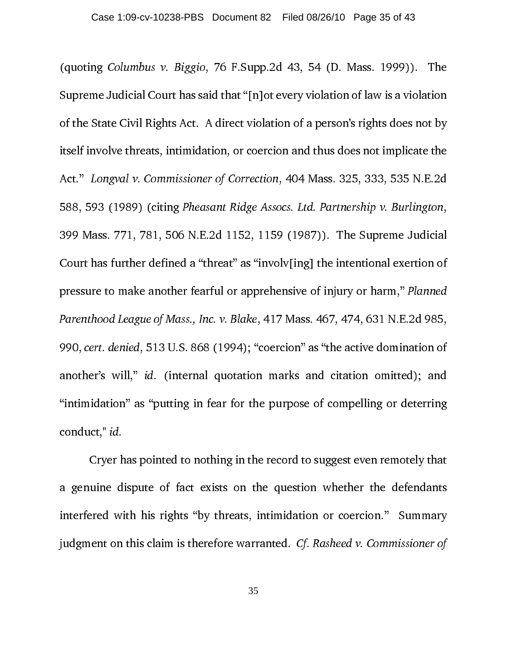(quoting Columbus v. Biggio, 76 F.Supp.2d 43, 54 (D. Mass. 1999)). The Supreme Judicial Court has said that "[n]ot every violation of law is a violation of the State Civil Rights Act. A direct violation of a person's rights does not by itself involve threats, intimidation, or coercion and thus does not implicate the Act." Longval v. Commissioner of Correction, 404 Mass. 325, 333, 535 N.E.2d 588, 593 (1989) (citing Pheasant Ridge Assocs. Ltd. Partnership v. Burlington, 399 Mass. 771, 781, 506 N.E.2d 1152, 1159 (1987)). The Supreme Judicial Court has further defined a "threat" as "involv[ing] the intentional exertion of pressure to make another fearful or apprehensive of injury or harm," Planned Parenthood League of Mass., Inc. v. Blake, 417 Mass. 467, 474, 631 N.E.2d 985, 990, cert. denied, 513 U.S. 868 (1994); "coercion" as "the active domination of another's will," id. (internal quotation marks and citation omitted); and "intimidation" as "putting in fear for the purpose of compelling or deterring conduct," id.

Cryer has pointed to nothing in the record to suggest even remotely that a genuine dispute of fact exists on the question whether the defendants interfered with his rights "by threats, intimidation or coercion." Summary judgment on this claim is therefore warranted. Cf. Rasheed v. Commissioner of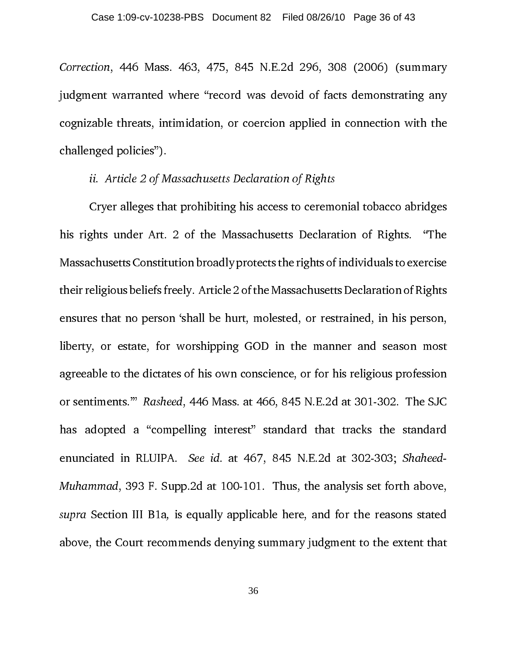Correction, 446 Mass. 463, 475, 845 N.E.2d 296, 308 (2006) (summary judgment warranted where "record was devoid of facts demonstrating any cognizable threats, intimidation, or coercion applied in connection with the challenged policies").

#### ii. Article 2 of Massachusetts Declaration of Rights

Cryer alleges that prohibiting his access to ceremonial tobacco abridges his rights under Art. 2 of the Massachusetts Declaration of Rights. "The Massachusetts Constitution broadly protects the rights of individuals to exercise their religious beliefs freely. Article 2 of the Massachusetts Declaration of Rights ensures that no person 'shall be hurt, molested, or restrained, in his person, liberty, or estate, for worshipping GOD in the manner and season most agreeable to the dictates of his own conscience, or for his religious profession or sentiments.'" Rasheed, 446 Mass. at 466, 845 N.E.2d at 301-302. The SJC has adopted a "compelling interest" standard that tracks the standard enunciated in RLUIPA. See id. at 467, 845 N.E.2d at 302-303; Shaheed-Muhammad, 393 F. Supp.2d at 100-101. Thus, the analysis set forth above, supra Section III B1a, is equally applicable here, and for the reasons stated above, the Court recommends denying summary judgment to the extent that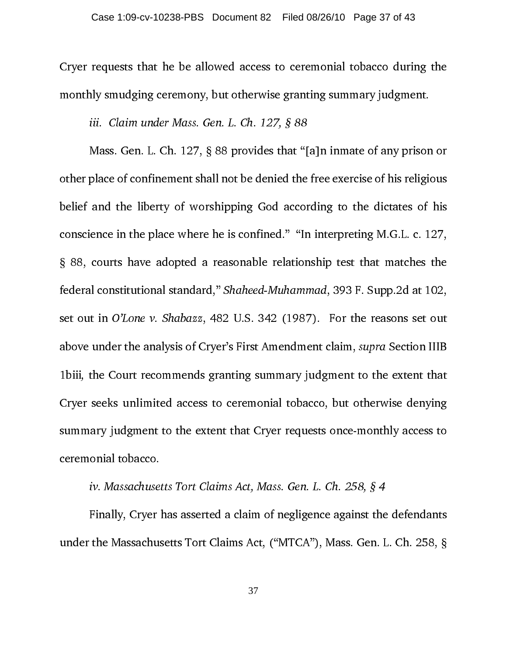Cryer requests that he be allowed access to ceremonial tobacco during the monthly smudging ceremony, but otherwise granting summary judgment.

iii. Claim under Mass. Gen. L. Ch. 127, § 88

Mass. Gen. L. Ch. 127, § 88 provides that "[a]n inmate of any prison or other place of confinement shall not be denied the free exercise of his religious belief and the liberty of worshipping God according to the dictates of his conscience in the place where he is confined." "In interpreting M.G.L. c. 127, § 88, courts have adopted a reasonable relationship test that matches the federal constitutional standard," Shaheed-Muhammad, 393 F. Supp.2d at 102, set out in O'Lone v. Shabazz, 482 U.S. 342 (1987). For the reasons set out above under the analysis of Cryer's First Amendment claim, supra Section IIIB 1biii, the Court recommends granting summary judgment to the extent that Cryer seeks unlimited access to ceremonial tobacco, but otherwise denying summary judgment to the extent that Cryer requests once-monthly access to ceremonial tobacco.

iv. Massachusetts Tort Claims Act, Mass. Gen. L. Ch. 258, § 4

Finally, Cryer has asserted a claim of negligence against the defendants under the Massachusetts Tort Claims Act, ("MTCA"), Mass. Gen. L. Ch. 258, §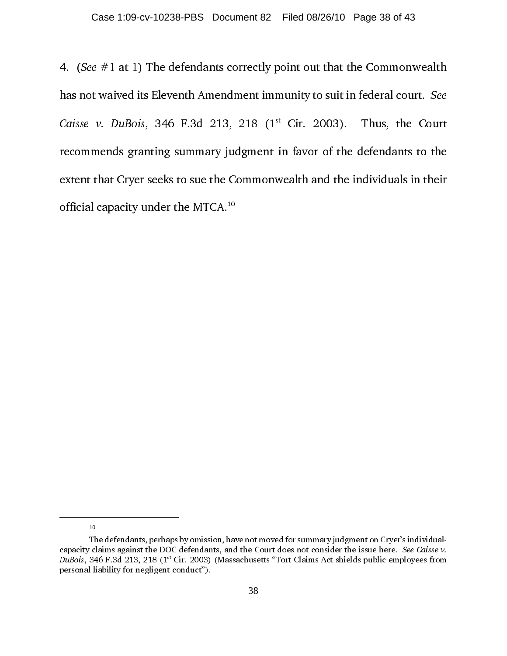the set  $\mu$  at  $\mu$  at 1) The defendant correctly point out that the Commonwealth<br>has not waived its Eleventh Amendment immunity to suit in federal court. See<br>Caisse  $\nu$ . DuBois, 346 F.3d 213, 218 (1<sup>st</sup> Cir. 2003). Thu Caisse *v. DuBois*, 346 F.3d 213, 218 (1<sup>st</sup> Cir. 2003). Thus, the Court recommends granting summary judgment in favor of the defendants to the extent that Cryer seeks to sue the Commonwealth and the individuals in their Caisse v. DuBois, 346 F.3d 213, 218 (1<sup>st</sup> Cir. 2003). Thus, the Court recommends granting summary judgment in favor of the defendants to the extent that Cryer seeks to sue the Commonwealth and the individuals in their of recommends granting summary judgment in favor of the defendants to the extent that Cryer seeks to sue the Commonwealth and the individuals in their official capacity under the MTCA.<sup>10</sup>

10

The defendants, perhaps by omission, have not moved for summary judgment on Cryer's individualcapacity claims against the DOC defendants, and the Court does not consider the issue here. See Caisse v. DuBois, 346 F.3d 213, 218 (1st Cir. 2003) (Massachusetts "Tort Claims Act shields public employees from personal liability for negligent conduct").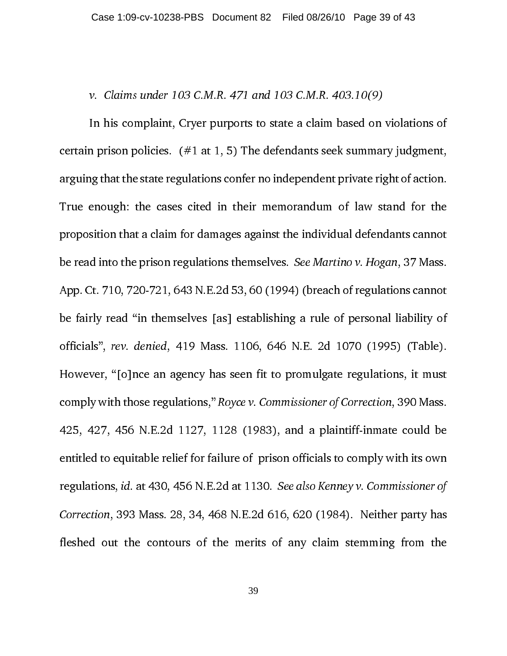#### v. Claims under 103 C.M.R. 471 and 103 C.M.R. 403.10(9)

In his complaint, Cryer purports to state a claim based on violations of certain prison policies.  $(#1 at 1, 5)$  The defendants seek summary judgment, arguing that the state regulations confer no independent private right of action. True enough: the cases cited in their memorandum of law stand for the proposition that a claim for damages against the individual defendants cannot be read into the prison regulations themselves. See Martino v. Hogan, 37 Mass. App. Ct. 710, 720-721, 643 N.E.2d 53, 60 (1994) (breach of regulations cannot be fairly read "in themselves [as] establishing a rule of personal liability of officials", rev. denied, 419 Mass. 1106, 646 N.E. 2d 1070 (1995) (Table). However, "[o]nce an agency has seen fit to promulgate regulations, it must comply with those regulations," Royce v. Commissioner of Correction, 390 Mass. 425, 427, 456 N.E.2d 1127, 1128 (1983), and a plaintiff-inmate could be entitled to equitable relief for failure of prison officials to comply with its own regulations, id. at 430, 456 N.E.2d at 1130. See also Kenney v. Commissioner of Correction, 393 Mass. 28, 34, 468 N.E.2d 616, 620 (1984). Neither party has fleshed out the contours of the merits of any claim stemming from the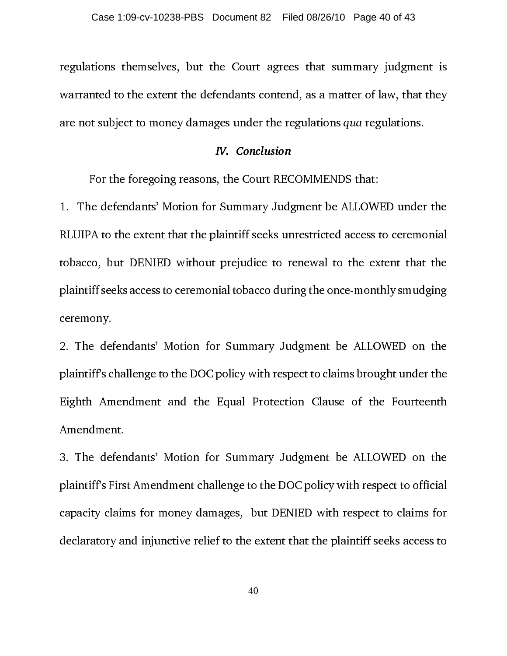regulations themselves, but the Court agrees that summary judgment is warranted to the extent the defendants contend, as a matter of law, that they are not subject to money damages under the regulations qua regulations.

For the foregoing reasons, the Court RECOMMENDS that:

1. The defendants' Motion for Summary Judgment be ALLOWED under the RLUIPA to the extent that the plaintiff seeks unrestricted access to ceremonial tobacco, but DENIED without prejudice to renewal to the extent that the plaintiff seeks access to ceremonial tobacco during the once-monthly smudging ceremony.

2. The defendants' Motion for Summary Judgment be ALLOWED on the plaintiff's challenge to the DOC policy with respect to claims brought under the Eighth Amendment and the Equal Protection Clause of the Fourteenth Amendment.

3. The defendants' Motion for Summary Judgment be ALLOWED on the plaintiff's First Amendment challenge to the DOC policy with respect to official capacity claims for money damages, but DENIED with respect to claims for declaratory and injunctive relief to the extent that the plaintiff seeks access to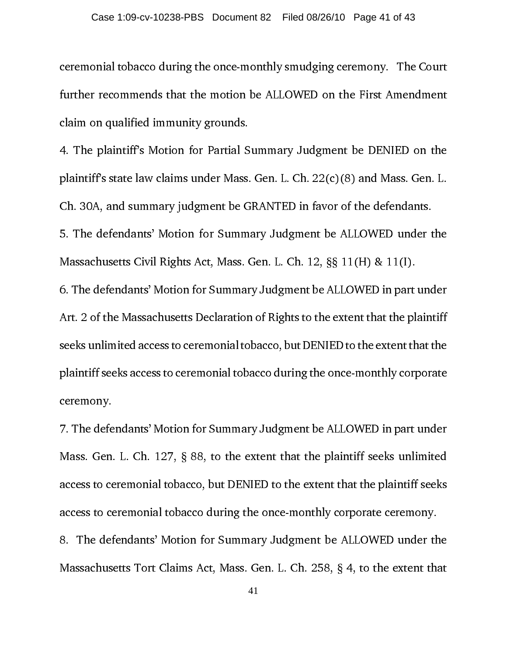ceremonial tobacco during the once-monthly smudging ceremony. The Court further recommends that the motion be ALLOWED on the First Amendment claim on qualified immunity grounds.

4. The plaintiff's Motion for Partial Summary Judgment be DENIED on the plaintiff's state law claims under Mass. Gen. L. Ch. 22(c)(8) and Mass. Gen. L. Ch. 30A, and summary judgment be GRANTED in favor of the defendants. 5. The defendants' Motion for Summary Judgment be ALLOWED under the Massachusetts Civil Rights Act, Mass. Gen. L. Ch. 12, §§ 11(H) & 11(I). 6. The defendants' Motion for Summary Judgment be ALLOWED in part under Art. 2 of the Massachusetts Declaration of Rights to the extent that the plaintiff seeks unlimited access to ceremonial tobacco, but DENIED to the extent that the plaintiff seeks access to ceremonial tobacco during the once-monthly corporate

ceremony.

7. The defendants' Motion for Summary Judgment be ALLOWED in part under Mass. Gen. L. Ch. 127, § 88, to the extent that the plaintiff seeks unlimited access to ceremonial tobacco, but DENIED to the extent that the plaintiff seeks access to ceremonial tobacco during the once-monthly corporate ceremony.

8. The defendants' Motion for Summary Judgment be ALLOWED under the Massachusetts Tort Claims Act, Mass. Gen. L. Ch. 258, § 4, to the extent that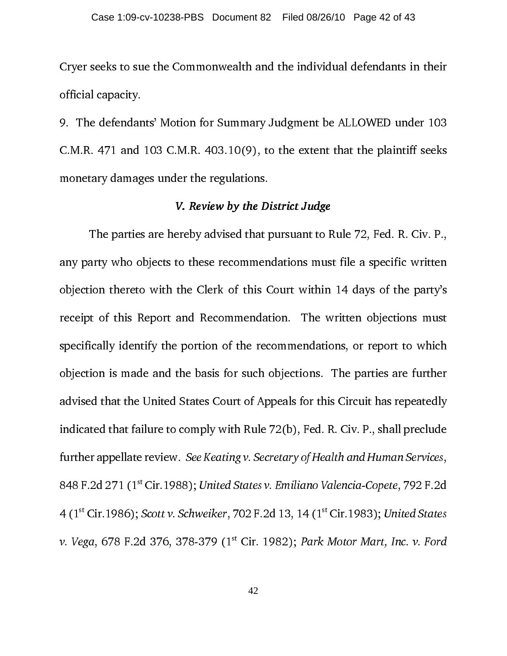Cryer seeks to sue the Commonwealth and the individual defendants in their official capacity.

9. The defendants' Motion for Summary Judgment be ALLOWED under 103 C.M.R. 471 and 103 C.M.R. 403.10(9), to the extent that the plaintiff seeks monetary damages under the regulations.

#### V. Review by the District Judge

ereby advised that pursuant to I<br>to these recommendations mus<br>the Clerk of this Court within<br>and Recommendation. The v<br>portion of the recommendation<br>the basis for such objections.<br>States Court of Appeals for thi<br>comply wit The parties are pursuant to Rule 72, Fed. R. C., The party 3<br>arty who objects to these recommendations must file a specific written<br>ion thereto with the Clerk of this Court within 14 days of the party's<br>it of this Report a bijection thereto with the Clerk of this Court within 14 days of the party's<br>receipt of this Report and Recommendation. The written objections must<br>specifically identify the portion of the recommendations, or report to whi receipt of this Report and Recommendation. The written objections must<br>specifically identify the portion of the recommendations, or report to which<br>objection is made and the basis for such objections. The parties are furth specifically identify the portion of the recommendations, or report to which<br>objection is made and the basis for such objections. The parties are further<br>advised that the United States Court of Appeals for this Circuit has objection is made and the basis for such objections. The parties are further<br>advised that the United States Court of Appeals for this Circuit has repeatedly<br>indicated that failure to comply with Rule 72(b), Fed. R. Civ. P. advised that the United States Court of Appeals for this Circuit has repeatedly<br>indicated that failure to comply with Rule 72(b), Fed. R. Civ. P., shall preclude<br>further appellate review. *See Keating v. Secretary of Healt* indicated that failure to comply with Rule 72(b), Fed. R. Civ. P., shall preclude<br>further appellate review. *See Keating v. Secretary of Health and Human Services*,<br>848 F.2d 271 (1<sup>st</sup> Cir.1988); *United States v. Emiliano* further appellate review. *See Keating v. Secretary of Health and Human Services*,<br>848 F.2d 271 (1<sup>st</sup> Cir.1988); *United States v. Emiliano Valencia-Copete*, 792 F.2d<br>4 (1<sup>st</sup> Cir.1986); *Scott v. Schweiker*, 702 F.2d 13, further appellate review. *See Keating v. Secretary of Health and Human Services,*<br>848 F.2d 271 (1<sup>st</sup> Cir.1988); *United States v. Emiliano Valencia-Copete, 7*92 F.2d<br>4 (1<sup>st</sup> Cir.1986); *Scott v. Schweiker, 7*02 F.2d 13, 848 F.2d 271 (1<sup>st</sup> Cir.1988); United States v. Emiliano Valencia-Copete, 792 F.2d<br>4 (1<sup>st</sup> Cir.1986); Scott v. Schweiker, 702 F.2d 13, 14 (1<sup>st</sup> Cir.1983); United States<br>v. Vega, 678 F.2d 376, 378-379 (1<sup>st</sup> Cir. 1982); P 4 (1<sup>st</sup> Cir.1986); Scott v. Schweiker, 702 F.2d 13, 14 (1<sup>st</sup> Cir.1983); United States<br>v. Vega, 678 F.2d 376, 378-379 (1<sup>st</sup> Cir. 1982); Park Motor Mart, Inc. v. Ford<br>42 v. Vega, 678 F.2d 376, 378-379 (1st Cir. 1982); Park Motor Mart, Inc. v. Ford